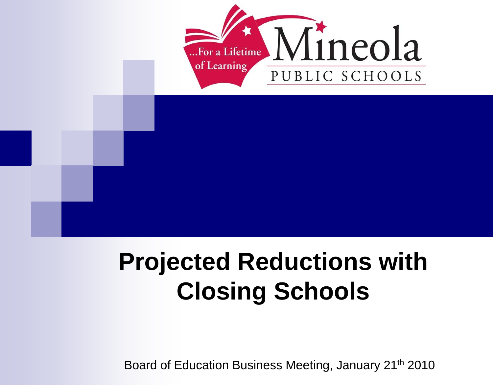

### **Projected Reductions with Closing Schools**

Board of Education Business Meeting, January 21th 2010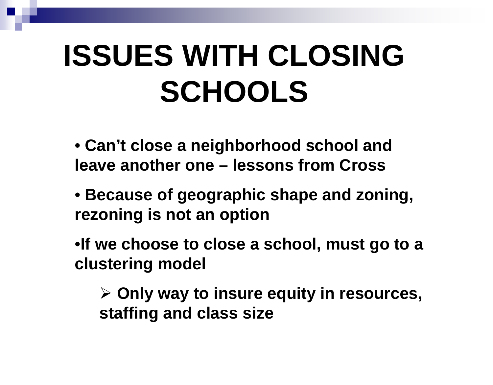## **ISSUES WITH CLOSING SCHOOLS**

- **Can't close a neighborhood school and leave another one – lessons from Cross**
- **Because of geographic shape and zoning, rezoning is not an option**
- •**If we choose to close a school, must go to a clustering model**
	- **Only way to insure equity in resources, staffing and class size**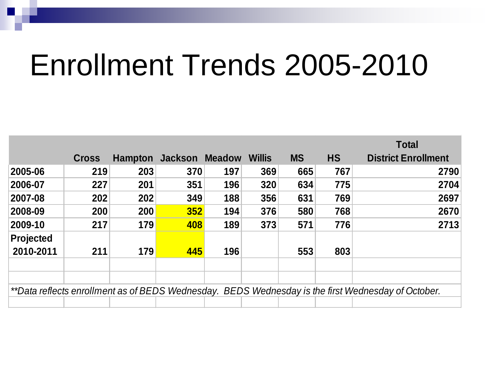### Enrollment Trends 2005-2010

|                                                                                                    |              |                |                              |     |     |           |           | <b>Total</b>               |
|----------------------------------------------------------------------------------------------------|--------------|----------------|------------------------------|-----|-----|-----------|-----------|----------------------------|
|                                                                                                    | <b>Cross</b> | <b>Hampton</b> | <b>Jackson Meadow Willis</b> |     |     | <b>MS</b> | <b>HS</b> | <b>District Enrollment</b> |
| 2005-06                                                                                            | 219          | 203            | 370                          | 197 | 369 | 665       | 767       | 2790                       |
| 2006-07                                                                                            | 227          | 201            | 351                          | 196 | 320 | 634       | 775       | 2704                       |
| 2007-08                                                                                            | 202          | 202            | 349                          | 188 | 356 | 631       | 769       | 2697                       |
| 2008-09                                                                                            | 200          | 200            | 352                          | 194 | 376 | 580       | 768       | 2670                       |
| 2009-10                                                                                            | 217          | 179            | 408                          | 189 | 373 | 571       | 776       | 2713                       |
| <b>Projected</b>                                                                                   |              |                |                              |     |     |           |           |                            |
| 2010-2011                                                                                          | 211          | 179            | 445                          | 196 |     | 553       | 803       |                            |
|                                                                                                    |              |                |                              |     |     |           |           |                            |
|                                                                                                    |              |                |                              |     |     |           |           |                            |
| **Data reflects enrollment as of BEDS Wednesday. BEDS Wednesday is the first Wednesday of October. |              |                |                              |     |     |           |           |                            |
|                                                                                                    |              |                |                              |     |     |           |           |                            |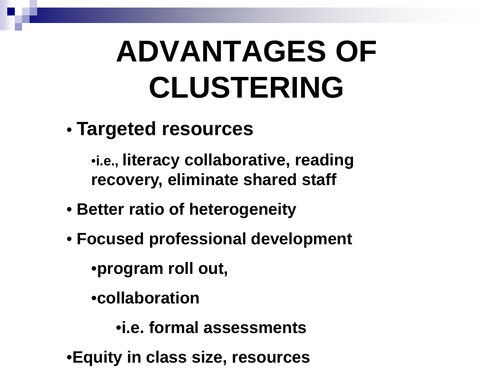# **ADVANTAGES OF CLUSTERING**

• **Targeted resources**

•**i.e., literacy collaborative, reading recovery, eliminate shared staff**

- **Better ratio of heterogeneity**
- **Focused professional development**

•**program roll out,** 

•**collaboration** 

•**i.e. formal assessments**

•**Equity in class size, resources**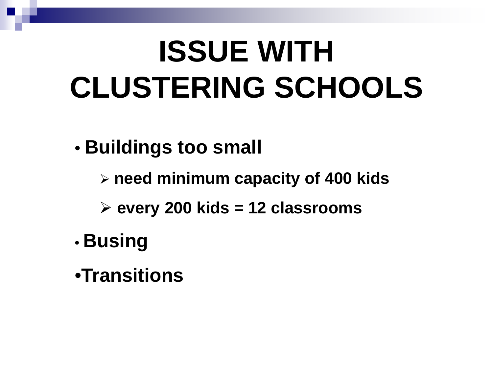## **ISSUE WITH CLUSTERING SCHOOLS**

- **Buildings too small**
	- **need minimum capacity of 400 kids**
	- **every 200 kids = 12 classrooms**
- **Busing**
- •**Transitions**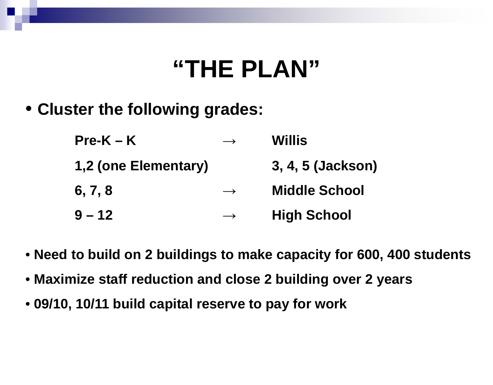#### **"THE PLAN"**

• **Cluster the following grades:**

| $Pre-K - K$          | $\longrightarrow$ | <b>Willis</b>        |
|----------------------|-------------------|----------------------|
| 1,2 (one Elementary) |                   | 3, 4, 5 (Jackson)    |
| 6, 7, 8              | $\longrightarrow$ | <b>Middle School</b> |
| $9 - 12$             | $\longrightarrow$ | <b>High School</b>   |

- **Need to build on 2 buildings to make capacity for 600, 400 students**
- **Maximize staff reduction and close 2 building over 2 years**
- **09/10, 10/11 build capital reserve to pay for work**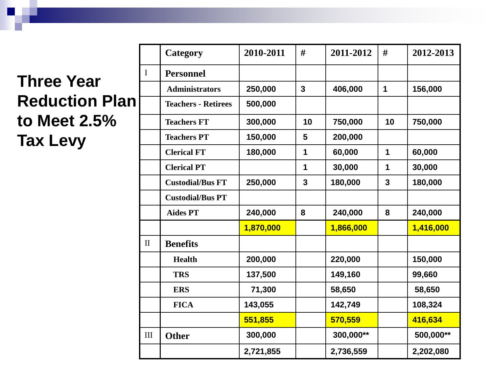#### **Three Year Reduction Plan to Meet 2.5% Tax Levy**

|              | Category                   | 2010-2011 | #              | 2011-2012 | #              | 2012-2013 |
|--------------|----------------------------|-----------|----------------|-----------|----------------|-----------|
| $\mathbf I$  | <b>Personnel</b>           |           |                |           |                |           |
|              | <b>Administrators</b>      | 250,000   | $\overline{3}$ | 406,000   | 1              | 156,000   |
|              | <b>Teachers - Retirees</b> | 500,000   |                |           |                |           |
|              | <b>Teachers FT</b>         | 300,000   | 10             | 750,000   | 10             | 750,000   |
|              | <b>Teachers PT</b>         | 150,000   | 5              | 200,000   |                |           |
|              | <b>Clerical FT</b>         | 180,000   | 1              | 60,000    | $\mathbf 1$    | 60,000    |
|              | <b>Clerical PT</b>         |           | 1              | 30,000    | 1              | 30,000    |
|              | <b>Custodial/Bus FT</b>    | 250,000   | $\overline{3}$ | 180,000   | $\overline{3}$ | 180,000   |
|              | <b>Custodial/Bus PT</b>    |           |                |           |                |           |
|              | <b>Aides PT</b>            | 240,000   | 8              | 240,000   | 8              | 240,000   |
|              |                            | 1,870,000 |                | 1,866,000 |                | 1,416,000 |
| $\mathbf{I}$ | <b>Benefits</b>            |           |                |           |                |           |
|              | <b>Health</b>              | 200,000   |                | 220,000   |                | 150,000   |
|              | <b>TRS</b>                 | 137,500   |                | 149,160   |                | 99,660    |
|              | <b>ERS</b>                 | 71,300    |                | 58,650    |                | 58,650    |
|              | <b>FICA</b>                | 143,055   |                | 142,749   |                | 108,324   |
|              |                            | 551,855   |                | 570,559   |                | 416,634   |
| III          | <b>Other</b>               | 300,000   |                | 300,000** |                | 500,000** |
|              |                            | 2,721,855 |                | 2,736,559 |                | 2,202,080 |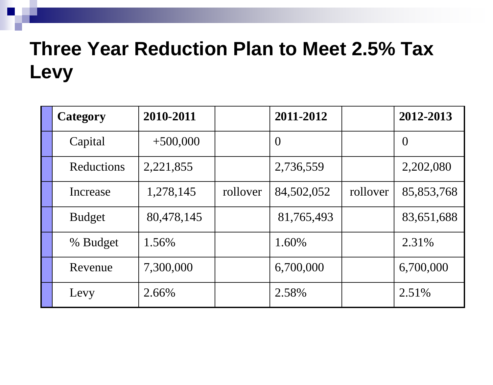#### **Three Year Reduction Plan to Meet 2.5% Tax Levy**

| Category      | 2010-2011  |          | 2011-2012  |          | 2012-2013      |
|---------------|------------|----------|------------|----------|----------------|
| Capital       | $+500,000$ |          | $\theta$   |          | $\overline{0}$ |
| Reductions    | 2,221,855  |          | 2,736,559  |          | 2,202,080      |
| Increase      | 1,278,145  | rollover | 84,502,052 | rollover | 85,853,768     |
| <b>Budget</b> | 80,478,145 |          | 81,765,493 |          | 83,651,688     |
| % Budget      | 1.56%      |          | 1.60%      |          | 2.31%          |
| Revenue       | 7,300,000  |          | 6,700,000  |          | 6,700,000      |
| Levy          | 2.66%      |          | 2.58%      |          | 2.51%          |